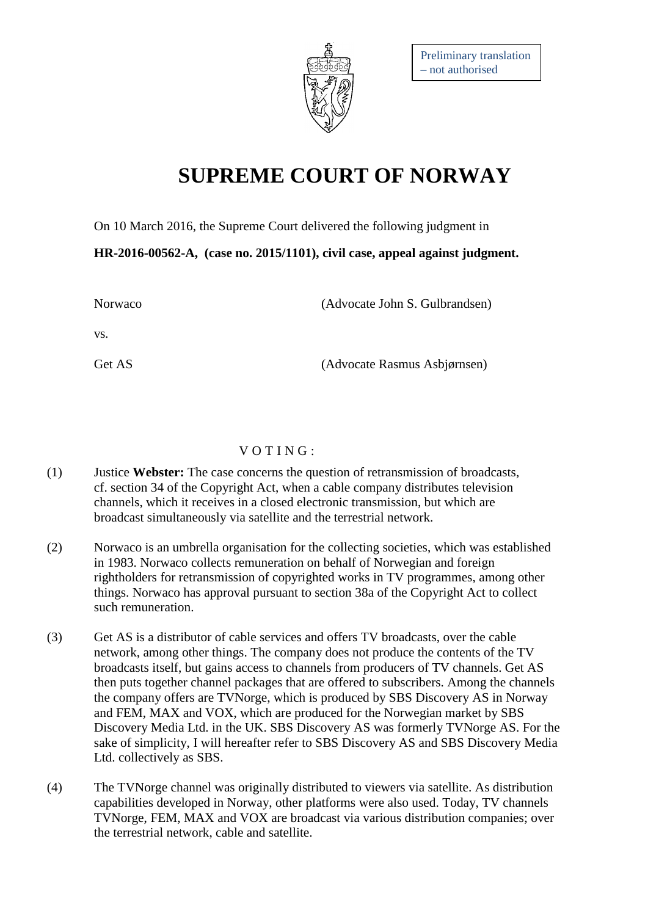

## **SUPREME COURT OF NORWAY**

On 10 March 2016, the Supreme Court delivered the following judgment in

**HR-2016-00562-A, (case no. 2015/1101), civil case, appeal against judgment.**

| Norwaco | (Advocate John S. Gulbrandsen) |
|---------|--------------------------------|
| VS.     |                                |
| Get AS  | (Advocate Rasmus Asbjørnsen)   |

## $V$  O T I N G :

- (1) Justice **Webster:** The case concerns the question of retransmission of broadcasts, cf. section 34 of the Copyright Act, when a cable company distributes television channels, which it receives in a closed electronic transmission, but which are broadcast simultaneously via satellite and the terrestrial network.
- (2) Norwaco is an umbrella organisation for the collecting societies, which was established in 1983. Norwaco collects remuneration on behalf of Norwegian and foreign rightholders for retransmission of copyrighted works in TV programmes, among other things. Norwaco has approval pursuant to section 38a of the Copyright Act to collect such remuneration.
- (3) Get AS is a distributor of cable services and offers TV broadcasts, over the cable network, among other things. The company does not produce the contents of the TV broadcasts itself, but gains access to channels from producers of TV channels. Get AS then puts together channel packages that are offered to subscribers. Among the channels the company offers are TVNorge, which is produced by SBS Discovery AS in Norway and FEM, MAX and VOX, which are produced for the Norwegian market by SBS Discovery Media Ltd. in the UK. SBS Discovery AS was formerly TVNorge AS. For the sake of simplicity, I will hereafter refer to SBS Discovery AS and SBS Discovery Media Ltd. collectively as SBS.
- (4) The TVNorge channel was originally distributed to viewers via satellite. As distribution capabilities developed in Norway, other platforms were also used. Today, TV channels TVNorge, FEM, MAX and VOX are broadcast via various distribution companies; over the terrestrial network, cable and satellite.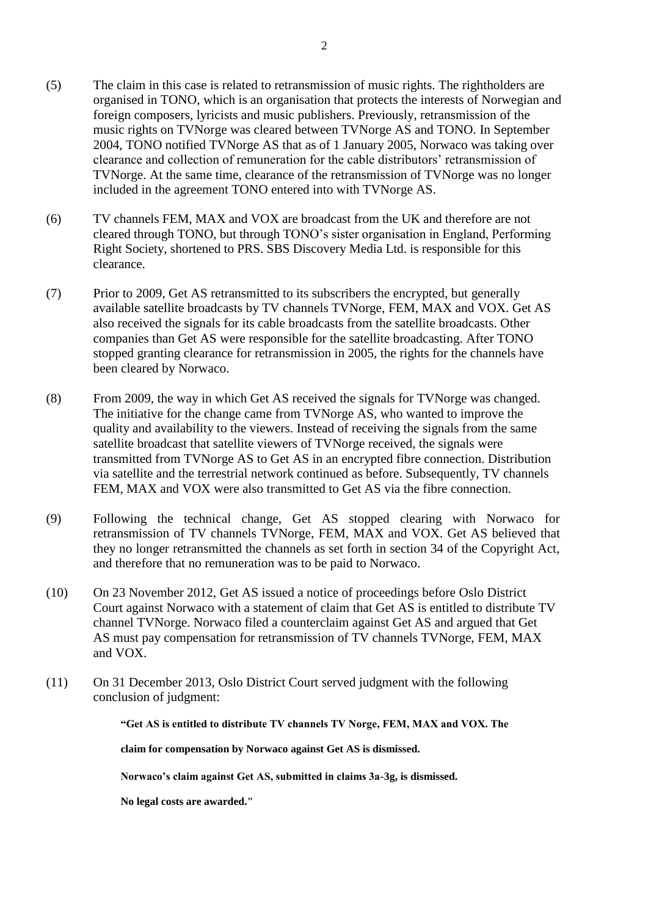- (5) The claim in this case is related to retransmission of music rights. The rightholders are organised in TONO, which is an organisation that protects the interests of Norwegian and foreign composers, lyricists and music publishers. Previously, retransmission of the music rights on TVNorge was cleared between TVNorge AS and TONO. In September 2004, TONO notified TVNorge AS that as of 1 January 2005, Norwaco was taking over clearance and collection of remuneration for the cable distributors' retransmission of TVNorge. At the same time, clearance of the retransmission of TVNorge was no longer included in the agreement TONO entered into with TVNorge AS.
- (6) TV channels FEM, MAX and VOX are broadcast from the UK and therefore are not cleared through TONO, but through TONO's sister organisation in England, Performing Right Society, shortened to PRS. SBS Discovery Media Ltd. is responsible for this clearance.
- (7) Prior to 2009, Get AS retransmitted to its subscribers the encrypted, but generally available satellite broadcasts by TV channels TVNorge, FEM, MAX and VOX. Get AS also received the signals for its cable broadcasts from the satellite broadcasts. Other companies than Get AS were responsible for the satellite broadcasting. After TONO stopped granting clearance for retransmission in 2005, the rights for the channels have been cleared by Norwaco.
- (8) From 2009, the way in which Get AS received the signals for TVNorge was changed. The initiative for the change came from TVNorge AS, who wanted to improve the quality and availability to the viewers. Instead of receiving the signals from the same satellite broadcast that satellite viewers of TVNorge received, the signals were transmitted from TVNorge AS to Get AS in an encrypted fibre connection. Distribution via satellite and the terrestrial network continued as before. Subsequently, TV channels FEM, MAX and VOX were also transmitted to Get AS via the fibre connection.
- (9) Following the technical change, Get AS stopped clearing with Norwaco for retransmission of TV channels TVNorge, FEM, MAX and VOX. Get AS believed that they no longer retransmitted the channels as set forth in section 34 of the Copyright Act, and therefore that no remuneration was to be paid to Norwaco.
- (10) On 23 November 2012, Get AS issued a notice of proceedings before Oslo District Court against Norwaco with a statement of claim that Get AS is entitled to distribute TV channel TVNorge. Norwaco filed a counterclaim against Get AS and argued that Get AS must pay compensation for retransmission of TV channels TVNorge, FEM, MAX and VOX.
- (11) On 31 December 2013, Oslo District Court served judgment with the following conclusion of judgment:

**"Get AS is entitled to distribute TV channels TV Norge, FEM, MAX and VOX. The** 

**claim for compensation by Norwaco against Get AS is dismissed.**

**Norwaco's claim against Get AS, submitted in claims 3a-3g, is dismissed.**

**No legal costs are awarded."**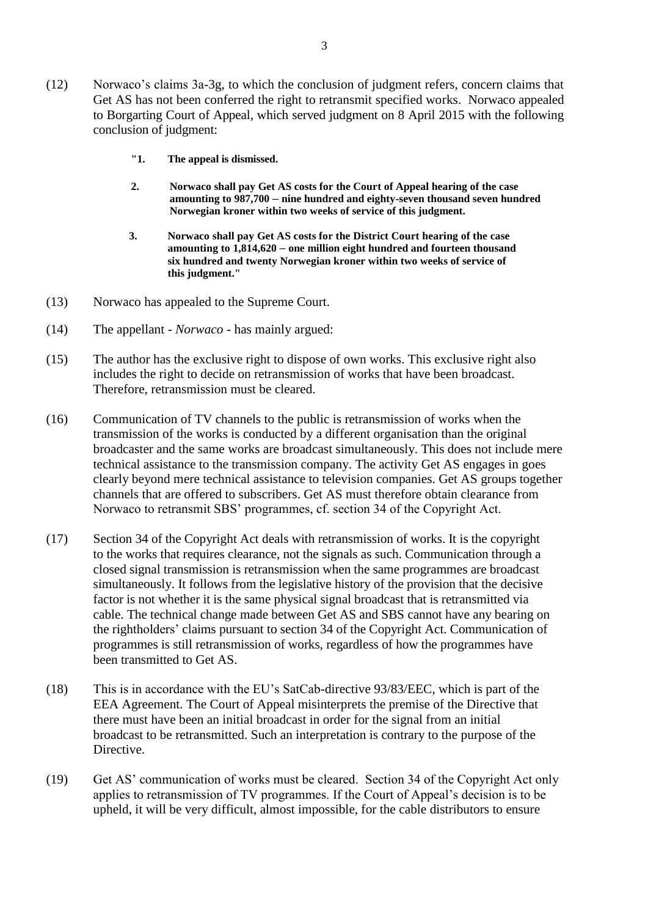- (12) Norwaco's claims 3a-3g, to which the conclusion of judgment refers, concern claims that Get AS has not been conferred the right to retransmit specified works. Norwaco appealed to Borgarting Court of Appeal, which served judgment on 8 April 2015 with the following conclusion of judgment:
	- **"1. The appeal is dismissed.**
	- **2. Norwaco shall pay Get AS costs for the Court of Appeal hearing of the case amounting to 987,700 – nine hundred and eighty-seven thousand seven hundred Norwegian kroner within two weeks of service of this judgment.**
	- **3. Norwaco shall pay Get AS costs for the District Court hearing of the case amounting to 1,814,620 – one million eight hundred and fourteen thousand six hundred and twenty Norwegian kroner within two weeks of service of this judgment."**
- (13) Norwaco has appealed to the Supreme Court.
- (14) The appellant *Norwaco* has mainly argued:
- (15) The author has the exclusive right to dispose of own works. This exclusive right also includes the right to decide on retransmission of works that have been broadcast. Therefore, retransmission must be cleared.
- (16) Communication of TV channels to the public is retransmission of works when the transmission of the works is conducted by a different organisation than the original broadcaster and the same works are broadcast simultaneously. This does not include mere technical assistance to the transmission company. The activity Get AS engages in goes clearly beyond mere technical assistance to television companies. Get AS groups together channels that are offered to subscribers. Get AS must therefore obtain clearance from Norwaco to retransmit SBS' programmes, cf. section 34 of the Copyright Act.
- (17) Section 34 of the Copyright Act deals with retransmission of works. It is the copyright to the works that requires clearance, not the signals as such. Communication through a closed signal transmission is retransmission when the same programmes are broadcast simultaneously. It follows from the legislative history of the provision that the decisive factor is not whether it is the same physical signal broadcast that is retransmitted via cable. The technical change made between Get AS and SBS cannot have any bearing on the rightholders' claims pursuant to section 34 of the Copyright Act. Communication of programmes is still retransmission of works, regardless of how the programmes have been transmitted to Get AS.
- (18) This is in accordance with the EU's SatCab-directive 93/83/EEC, which is part of the EEA Agreement. The Court of Appeal misinterprets the premise of the Directive that there must have been an initial broadcast in order for the signal from an initial broadcast to be retransmitted. Such an interpretation is contrary to the purpose of the Directive.
- (19) Get AS' communication of works must be cleared. Section 34 of the Copyright Act only applies to retransmission of TV programmes. If the Court of Appeal's decision is to be upheld, it will be very difficult, almost impossible, for the cable distributors to ensure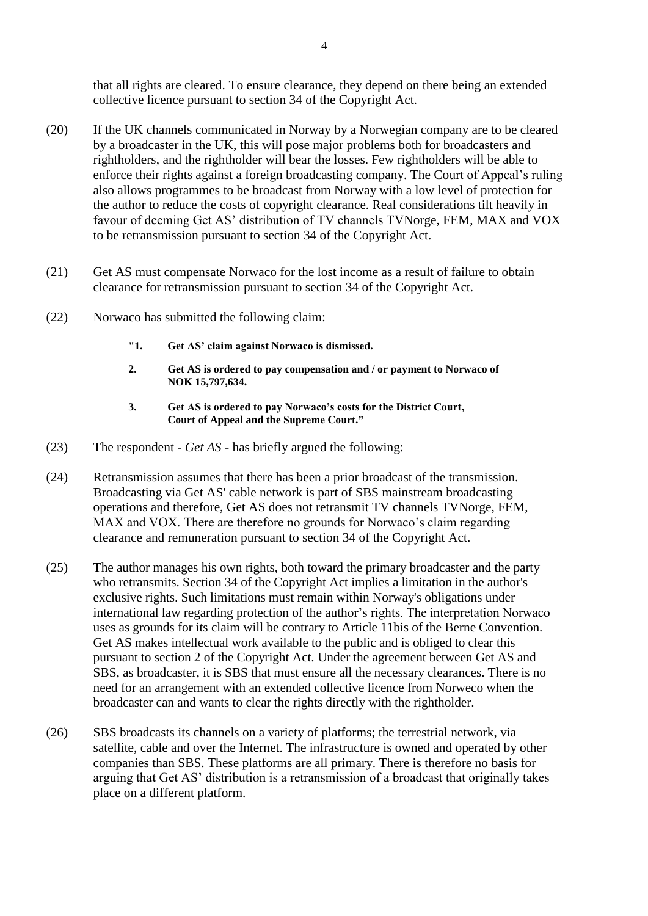that all rights are cleared. To ensure clearance, they depend on there being an extended collective licence pursuant to section 34 of the Copyright Act.

- (20) If the UK channels communicated in Norway by a Norwegian company are to be cleared by a broadcaster in the UK, this will pose major problems both for broadcasters and rightholders, and the rightholder will bear the losses. Few rightholders will be able to enforce their rights against a foreign broadcasting company. The Court of Appeal's ruling also allows programmes to be broadcast from Norway with a low level of protection for the author to reduce the costs of copyright clearance. Real considerations tilt heavily in favour of deeming Get AS' distribution of TV channels TVNorge, FEM, MAX and VOX to be retransmission pursuant to section 34 of the Copyright Act.
- (21) Get AS must compensate Norwaco for the lost income as a result of failure to obtain clearance for retransmission pursuant to section 34 of the Copyright Act.
- (22) Norwaco has submitted the following claim:
	- **"1. Get AS' claim against Norwaco is dismissed.**
	- **2. Get AS is ordered to pay compensation and / or payment to Norwaco of NOK 15,797,634.**
	- **3. Get AS is ordered to pay Norwaco's costs for the District Court, Court of Appeal and the Supreme Court."**
- (23) The respondent *Get AS* has briefly argued the following:
- (24) Retransmission assumes that there has been a prior broadcast of the transmission. Broadcasting via Get AS' cable network is part of SBS mainstream broadcasting operations and therefore, Get AS does not retransmit TV channels TVNorge, FEM, MAX and VOX. There are therefore no grounds for Norwaco's claim regarding clearance and remuneration pursuant to section 34 of the Copyright Act.
- (25) The author manages his own rights, both toward the primary broadcaster and the party who retransmits. Section 34 of the Copyright Act implies a limitation in the author's exclusive rights. Such limitations must remain within Norway's obligations under international law regarding protection of the author's rights. The interpretation Norwaco uses as grounds for its claim will be contrary to Article 11bis of the Berne Convention. Get AS makes intellectual work available to the public and is obliged to clear this pursuant to section 2 of the Copyright Act. Under the agreement between Get AS and SBS, as broadcaster, it is SBS that must ensure all the necessary clearances. There is no need for an arrangement with an extended collective licence from Norweco when the broadcaster can and wants to clear the rights directly with the rightholder.
- (26) SBS broadcasts its channels on a variety of platforms; the terrestrial network, via satellite, cable and over the Internet. The infrastructure is owned and operated by other companies than SBS. These platforms are all primary. There is therefore no basis for arguing that Get AS' distribution is a retransmission of a broadcast that originally takes place on a different platform.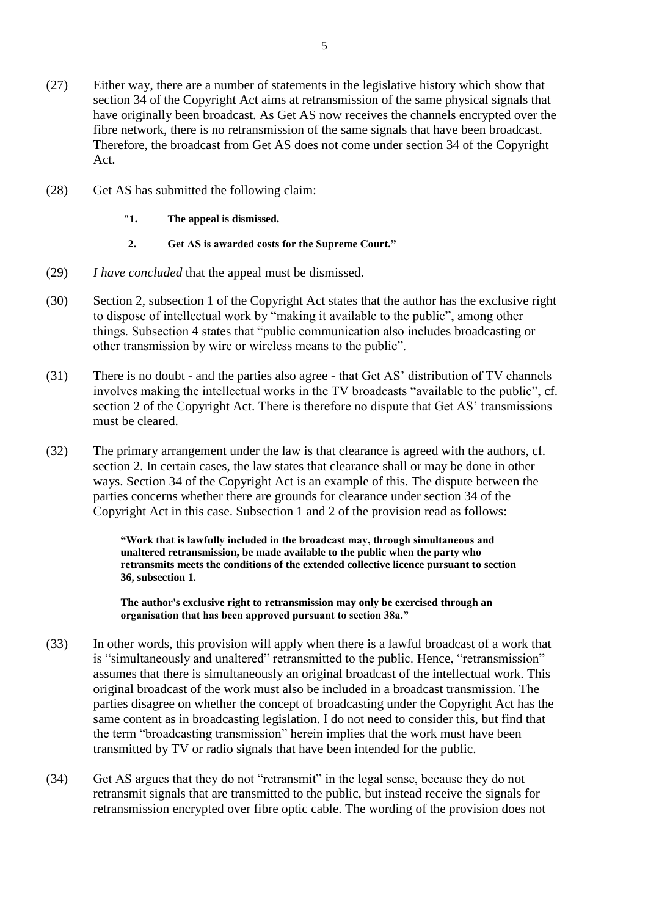- (27) Either way, there are a number of statements in the legislative history which show that section 34 of the Copyright Act aims at retransmission of the same physical signals that have originally been broadcast. As Get AS now receives the channels encrypted over the fibre network, there is no retransmission of the same signals that have been broadcast. Therefore, the broadcast from Get AS does not come under section 34 of the Copyright Act.
- (28) Get AS has submitted the following claim:
	- **"1. The appeal is dismissed.**
	- **2. Get AS is awarded costs for the Supreme Court."**
- (29) *I have concluded* that the appeal must be dismissed.
- (30) Section 2, subsection 1 of the Copyright Act states that the author has the exclusive right to dispose of intellectual work by "making it available to the public", among other things. Subsection 4 states that "public communication also includes broadcasting or other transmission by wire or wireless means to the public".
- (31) There is no doubt and the parties also agree that Get AS' distribution of TV channels involves making the intellectual works in the TV broadcasts "available to the public", cf. section 2 of the Copyright Act. There is therefore no dispute that Get AS' transmissions must be cleared.
- (32) The primary arrangement under the law is that clearance is agreed with the authors, cf. section 2. In certain cases, the law states that clearance shall or may be done in other ways. Section 34 of the Copyright Act is an example of this. The dispute between the parties concerns whether there are grounds for clearance under section 34 of the Copyright Act in this case. Subsection 1 and 2 of the provision read as follows:

**"Work that is lawfully included in the broadcast may, through simultaneous and unaltered retransmission, be made available to the public when the party who retransmits meets the conditions of the extended collective licence pursuant to section 36, subsection 1.**

**The author's exclusive right to retransmission may only be exercised through an organisation that has been approved pursuant to section 38a."**

- (33) In other words, this provision will apply when there is a lawful broadcast of a work that is "simultaneously and unaltered" retransmitted to the public. Hence, "retransmission" assumes that there is simultaneously an original broadcast of the intellectual work. This original broadcast of the work must also be included in a broadcast transmission. The parties disagree on whether the concept of broadcasting under the Copyright Act has the same content as in broadcasting legislation. I do not need to consider this, but find that the term "broadcasting transmission" herein implies that the work must have been transmitted by TV or radio signals that have been intended for the public.
- (34) Get AS argues that they do not "retransmit" in the legal sense, because they do not retransmit signals that are transmitted to the public, but instead receive the signals for retransmission encrypted over fibre optic cable. The wording of the provision does not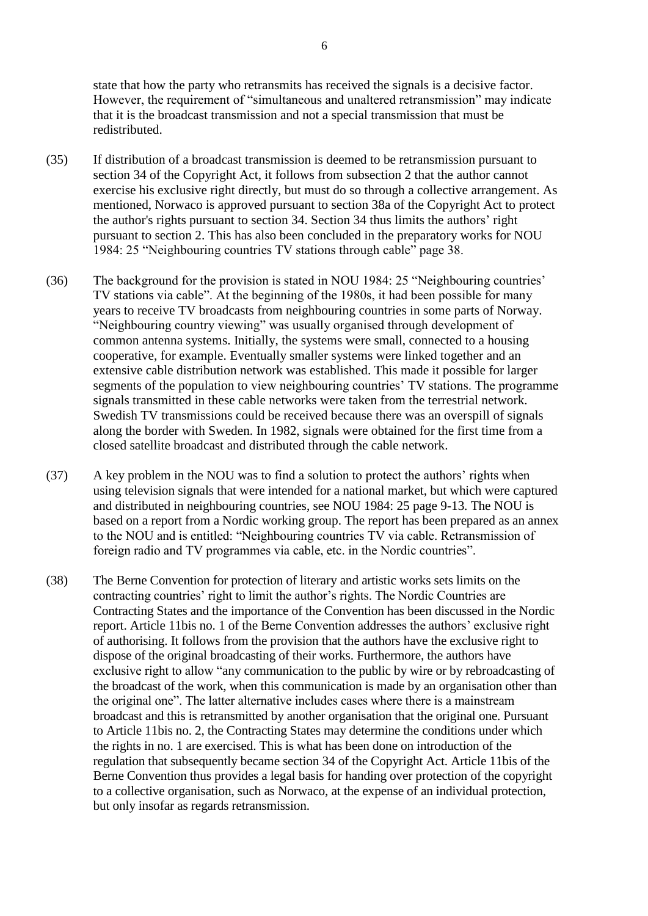state that how the party who retransmits has received the signals is a decisive factor. However, the requirement of "simultaneous and unaltered retransmission" may indicate that it is the broadcast transmission and not a special transmission that must be redistributed.

- (35) If distribution of a broadcast transmission is deemed to be retransmission pursuant to section 34 of the Copyright Act, it follows from subsection 2 that the author cannot exercise his exclusive right directly, but must do so through a collective arrangement. As mentioned, Norwaco is approved pursuant to section 38a of the Copyright Act to protect the author's rights pursuant to section 34. Section 34 thus limits the authors' right pursuant to section 2. This has also been concluded in the preparatory works for NOU 1984: 25 "Neighbouring countries TV stations through cable" page 38.
- (36) The background for the provision is stated in NOU 1984: 25 "Neighbouring countries' TV stations via cable". At the beginning of the 1980s, it had been possible for many years to receive TV broadcasts from neighbouring countries in some parts of Norway. "Neighbouring country viewing" was usually organised through development of common antenna systems. Initially, the systems were small, connected to a housing cooperative, for example. Eventually smaller systems were linked together and an extensive cable distribution network was established. This made it possible for larger segments of the population to view neighbouring countries' TV stations. The programme signals transmitted in these cable networks were taken from the terrestrial network. Swedish TV transmissions could be received because there was an overspill of signals along the border with Sweden. In 1982, signals were obtained for the first time from a closed satellite broadcast and distributed through the cable network.
- (37) A key problem in the NOU was to find a solution to protect the authors' rights when using television signals that were intended for a national market, but which were captured and distributed in neighbouring countries, see NOU 1984: 25 page 9-13. The NOU is based on a report from a Nordic working group. The report has been prepared as an annex to the NOU and is entitled: "Neighbouring countries TV via cable. Retransmission of foreign radio and TV programmes via cable, etc. in the Nordic countries".
- (38) The Berne Convention for protection of literary and artistic works sets limits on the contracting countries' right to limit the author's rights. The Nordic Countries are Contracting States and the importance of the Convention has been discussed in the Nordic report. Article 11bis no. 1 of the Berne Convention addresses the authors' exclusive right of authorising. It follows from the provision that the authors have the exclusive right to dispose of the original broadcasting of their works. Furthermore, the authors have exclusive right to allow "any communication to the public by wire or by rebroadcasting of the broadcast of the work, when this communication is made by an organisation other than the original one". The latter alternative includes cases where there is a mainstream broadcast and this is retransmitted by another organisation that the original one. Pursuant to Article 11bis no. 2, the Contracting States may determine the conditions under which the rights in no. 1 are exercised. This is what has been done on introduction of the regulation that subsequently became section 34 of the Copyright Act. Article 11bis of the Berne Convention thus provides a legal basis for handing over protection of the copyright to a collective organisation, such as Norwaco, at the expense of an individual protection, but only insofar as regards retransmission.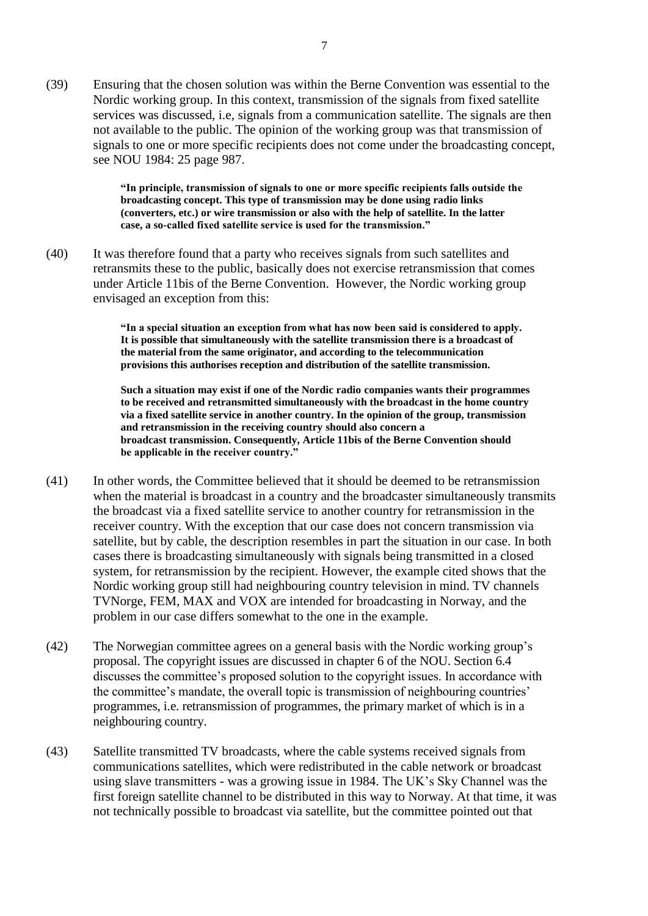(39) Ensuring that the chosen solution was within the Berne Convention was essential to the Nordic working group. In this context, transmission of the signals from fixed satellite services was discussed, i.e, signals from a communication satellite. The signals are then not available to the public. The opinion of the working group was that transmission of signals to one or more specific recipients does not come under the broadcasting concept, see NOU 1984: 25 page 987.

> **"In principle, transmission of signals to one or more specific recipients falls outside the broadcasting concept. This type of transmission may be done using radio links (converters, etc.) or wire transmission or also with the help of satellite. In the latter case, a so-called fixed satellite service is used for the transmission."**

(40) It was therefore found that a party who receives signals from such satellites and retransmits these to the public, basically does not exercise retransmission that comes under Article 11bis of the Berne Convention. However, the Nordic working group envisaged an exception from this:

> **"In a special situation an exception from what has now been said is considered to apply. It is possible that simultaneously with the satellite transmission there is a broadcast of the material from the same originator, and according to the telecommunication provisions this authorises reception and distribution of the satellite transmission.**

**Such a situation may exist if one of the Nordic radio companies wants their programmes to be received and retransmitted simultaneously with the broadcast in the home country via a fixed satellite service in another country. In the opinion of the group, transmission and retransmission in the receiving country should also concern a broadcast transmission. Consequently, Article 11bis of the Berne Convention should be applicable in the receiver country."**

- (41) In other words, the Committee believed that it should be deemed to be retransmission when the material is broadcast in a country and the broadcaster simultaneously transmits the broadcast via a fixed satellite service to another country for retransmission in the receiver country. With the exception that our case does not concern transmission via satellite, but by cable, the description resembles in part the situation in our case. In both cases there is broadcasting simultaneously with signals being transmitted in a closed system, for retransmission by the recipient. However, the example cited shows that the Nordic working group still had neighbouring country television in mind. TV channels TVNorge, FEM, MAX and VOX are intended for broadcasting in Norway, and the problem in our case differs somewhat to the one in the example.
- (42) The Norwegian committee agrees on a general basis with the Nordic working group's proposal. The copyright issues are discussed in chapter 6 of the NOU. Section 6.4 discusses the committee's proposed solution to the copyright issues. In accordance with the committee's mandate, the overall topic is transmission of neighbouring countries' programmes, i.e. retransmission of programmes, the primary market of which is in a neighbouring country.
- (43) Satellite transmitted TV broadcasts, where the cable systems received signals from communications satellites, which were redistributed in the cable network or broadcast using slave transmitters - was a growing issue in 1984. The UK's Sky Channel was the first foreign satellite channel to be distributed in this way to Norway. At that time, it was not technically possible to broadcast via satellite, but the committee pointed out that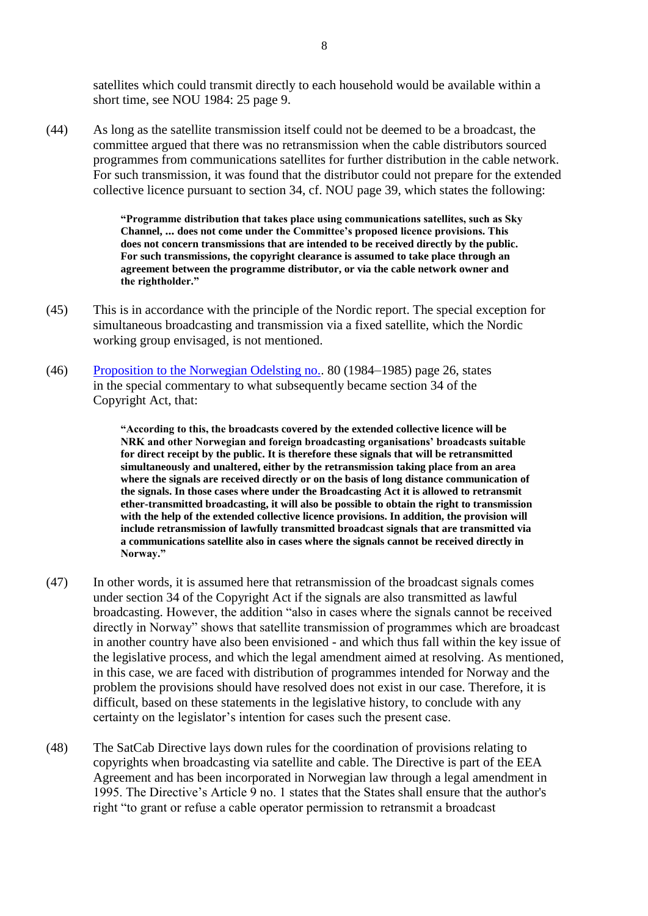satellites which could transmit directly to each household would be available within a short time, see NOU 1984: 25 page 9.

(44) As long as the satellite transmission itself could not be deemed to be a broadcast, the committee argued that there was no retransmission when the cable distributors sourced programmes from communications satellites for further distribution in the cable network. For such transmission, it was found that the distributor could not prepare for the extended collective licence pursuant to section 34, cf. NOU page 39, which states the following:

> **"Programme distribution that takes place using communications satellites, such as Sky Channel, ... does not come under the Committee's proposed licence provisions. This does not concern transmissions that are intended to be received directly by the public. For such transmissions, the copyright clearance is assumed to take place through an agreement between the programme distributor, or via the cable network owner and the rightholder."**

- (45) This is in accordance with the principle of the Nordic report. The special exception for simultaneous broadcasting and transmission via a fixed satellite, which the Nordic working group envisaged, is not mentioned.
- (46) [Proposition to the Norwegian Odelsting no..](http://ot.prp.nr/) 80 (1984–1985) page 26, states in the special commentary to what subsequently became section 34 of the Copyright Act, that:

**"According to this, the broadcasts covered by the extended collective licence will be NRK and other Norwegian and foreign broadcasting organisations' broadcasts suitable for direct receipt by the public. It is therefore these signals that will be retransmitted simultaneously and unaltered, either by the retransmission taking place from an area where the signals are received directly or on the basis of long distance communication of the signals. In those cases where under the Broadcasting Act it is allowed to retransmit ether-transmitted broadcasting, it will also be possible to obtain the right to transmission with the help of the extended collective licence provisions. In addition, the provision will include retransmission of lawfully transmitted broadcast signals that are transmitted via a communications satellite also in cases where the signals cannot be received directly in Norway."**

- (47) In other words, it is assumed here that retransmission of the broadcast signals comes under section 34 of the Copyright Act if the signals are also transmitted as lawful broadcasting. However, the addition "also in cases where the signals cannot be received directly in Norway" shows that satellite transmission of programmes which are broadcast in another country have also been envisioned - and which thus fall within the key issue of the legislative process, and which the legal amendment aimed at resolving. As mentioned, in this case, we are faced with distribution of programmes intended for Norway and the problem the provisions should have resolved does not exist in our case. Therefore, it is difficult, based on these statements in the legislative history, to conclude with any certainty on the legislator's intention for cases such the present case.
- (48) The SatCab Directive lays down rules for the coordination of provisions relating to copyrights when broadcasting via satellite and cable. The Directive is part of the EEA Agreement and has been incorporated in Norwegian law through a legal amendment in 1995. The Directive's Article 9 no. 1 states that the States shall ensure that the author's right "to grant or refuse a cable operator permission to retransmit a broadcast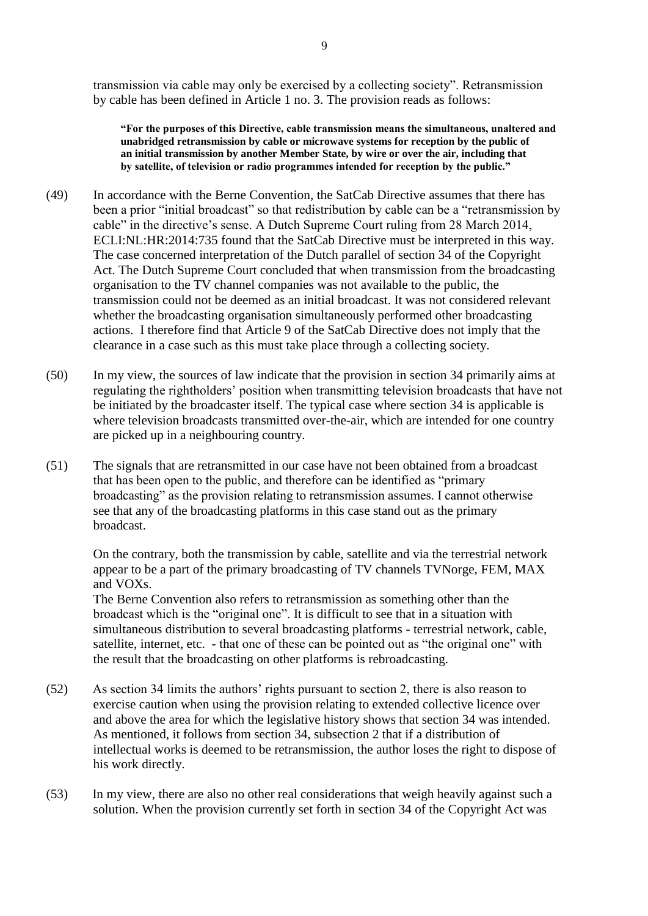transmission via cable may only be exercised by a collecting society". Retransmission by cable has been defined in Article 1 no. 3. The provision reads as follows:

**"For the purposes of this Directive, cable transmission means the simultaneous, unaltered and unabridged retransmission by cable or microwave systems for reception by the public of an initial transmission by another Member State, by wire or over the air, including that by satellite, of television or radio programmes intended for reception by the public."**

- (49) In accordance with the Berne Convention, the SatCab Directive assumes that there has been a prior "initial broadcast" so that redistribution by cable can be a "retransmission by cable" in the directive's sense. A Dutch Supreme Court ruling from 28 March 2014, ECLI:NL:HR:2014:735 found that the SatCab Directive must be interpreted in this way. The case concerned interpretation of the Dutch parallel of section 34 of the Copyright Act. The Dutch Supreme Court concluded that when transmission from the broadcasting organisation to the TV channel companies was not available to the public, the transmission could not be deemed as an initial broadcast. It was not considered relevant whether the broadcasting organisation simultaneously performed other broadcasting actions. I therefore find that Article 9 of the SatCab Directive does not imply that the clearance in a case such as this must take place through a collecting society.
- (50) In my view, the sources of law indicate that the provision in section 34 primarily aims at regulating the rightholders' position when transmitting television broadcasts that have not be initiated by the broadcaster itself. The typical case where section 34 is applicable is where television broadcasts transmitted over-the-air, which are intended for one country are picked up in a neighbouring country.
- (51) The signals that are retransmitted in our case have not been obtained from a broadcast that has been open to the public, and therefore can be identified as "primary broadcasting" as the provision relating to retransmission assumes. I cannot otherwise see that any of the broadcasting platforms in this case stand out as the primary broadcast.

On the contrary, both the transmission by cable, satellite and via the terrestrial network appear to be a part of the primary broadcasting of TV channels TVNorge, FEM, MAX and VOXs.

The Berne Convention also refers to retransmission as something other than the broadcast which is the "original one". It is difficult to see that in a situation with simultaneous distribution to several broadcasting platforms - terrestrial network, cable, satellite, internet, etc. - that one of these can be pointed out as "the original one" with the result that the broadcasting on other platforms is rebroadcasting.

- (52) As section 34 limits the authors' rights pursuant to section 2, there is also reason to exercise caution when using the provision relating to extended collective licence over and above the area for which the legislative history shows that section 34 was intended. As mentioned, it follows from section 34, subsection 2 that if a distribution of intellectual works is deemed to be retransmission, the author loses the right to dispose of his work directly.
- (53) In my view, there are also no other real considerations that weigh heavily against such a solution. When the provision currently set forth in section 34 of the Copyright Act was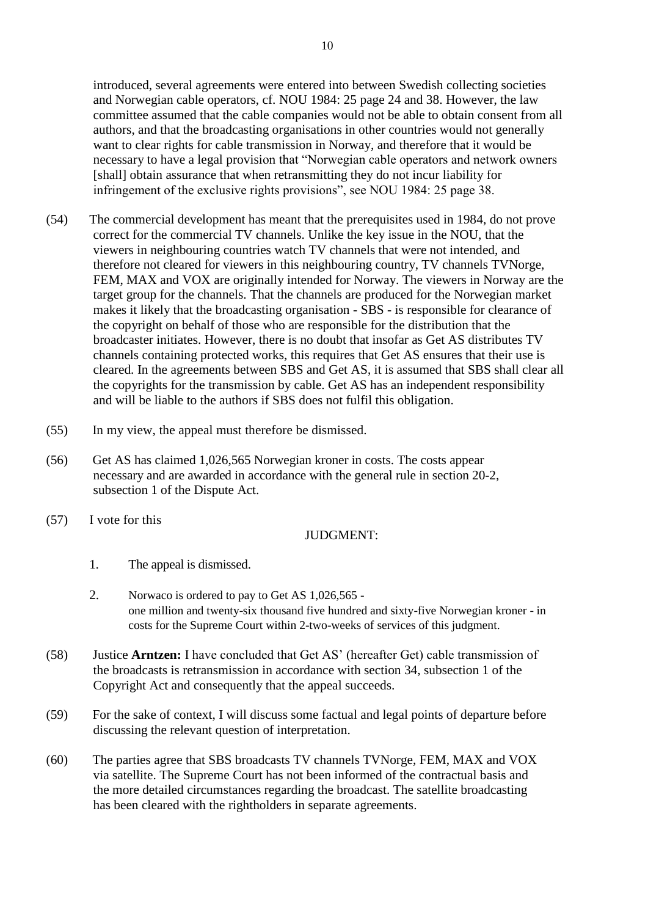introduced, several agreements were entered into between Swedish collecting societies and Norwegian cable operators, cf. NOU 1984: 25 page 24 and 38. However, the law committee assumed that the cable companies would not be able to obtain consent from all authors, and that the broadcasting organisations in other countries would not generally want to clear rights for cable transmission in Norway, and therefore that it would be necessary to have a legal provision that "Norwegian cable operators and network owners [shall] obtain assurance that when retransmitting they do not incur liability for infringement of the exclusive rights provisions", see NOU 1984: 25 page 38.

- (54) The commercial development has meant that the prerequisites used in 1984, do not prove correct for the commercial TV channels. Unlike the key issue in the NOU, that the viewers in neighbouring countries watch TV channels that were not intended, and therefore not cleared for viewers in this neighbouring country, TV channels TVNorge, FEM, MAX and VOX are originally intended for Norway. The viewers in Norway are the target group for the channels. That the channels are produced for the Norwegian market makes it likely that the broadcasting organisation - SBS - is responsible for clearance of the copyright on behalf of those who are responsible for the distribution that the broadcaster initiates. However, there is no doubt that insofar as Get AS distributes TV channels containing protected works, this requires that Get AS ensures that their use is cleared. In the agreements between SBS and Get AS, it is assumed that SBS shall clear all the copyrights for the transmission by cable. Get AS has an independent responsibility and will be liable to the authors if SBS does not fulfil this obligation.
- (55) In my view, the appeal must therefore be dismissed.
- (56) Get AS has claimed 1,026,565 Norwegian kroner in costs. The costs appear necessary and are awarded in accordance with the general rule in section 20-2, subsection 1 of the Dispute Act.
- (57) I vote for this

## JUDGMENT:

- 1. The appeal is dismissed.
- 2. Norwaco is ordered to pay to Get AS 1,026,565 one million and twenty-six thousand five hundred and sixty-five Norwegian kroner - in costs for the Supreme Court within 2-two-weeks of services of this judgment.
- (58) Justice **Arntzen:** I have concluded that Get AS' (hereafter Get) cable transmission of the broadcasts is retransmission in accordance with section 34, subsection 1 of the Copyright Act and consequently that the appeal succeeds.
- (59) For the sake of context, I will discuss some factual and legal points of departure before discussing the relevant question of interpretation.
- (60) The parties agree that SBS broadcasts TV channels TVNorge, FEM, MAX and VOX via satellite. The Supreme Court has not been informed of the contractual basis and the more detailed circumstances regarding the broadcast. The satellite broadcasting has been cleared with the rightholders in separate agreements.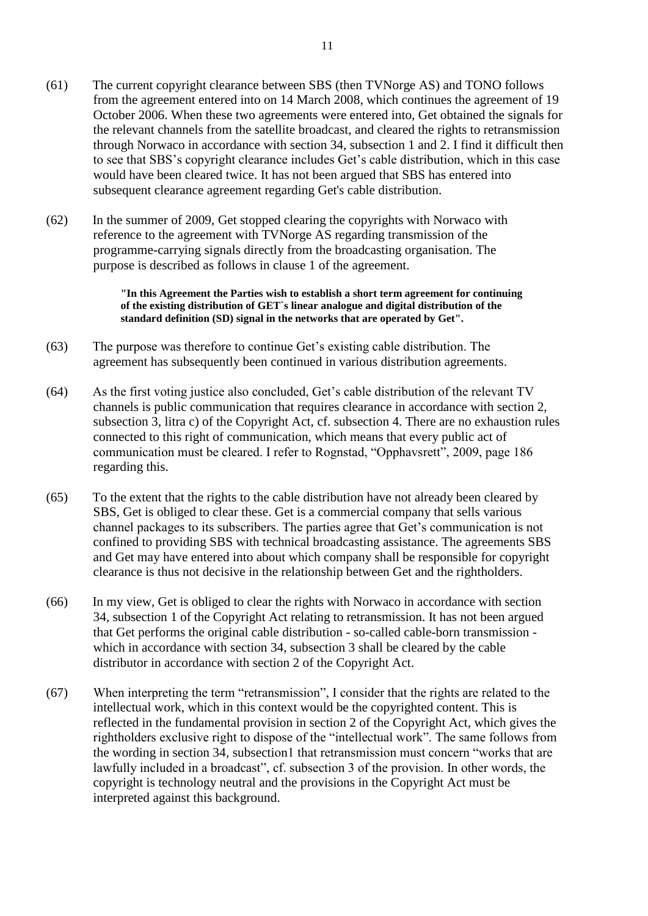- (61) The current copyright clearance between SBS (then TVNorge AS) and TONO follows from the agreement entered into on 14 March 2008, which continues the agreement of 19 October 2006. When these two agreements were entered into, Get obtained the signals for the relevant channels from the satellite broadcast, and cleared the rights to retransmission through Norwaco in accordance with section 34, subsection 1 and 2. I find it difficult then to see that SBS's copyright clearance includes Get's cable distribution, which in this case would have been cleared twice. It has not been argued that SBS has entered into subsequent clearance agreement regarding Get's cable distribution.
- (62) In the summer of 2009, Get stopped clearing the copyrights with Norwaco with reference to the agreement with TVNorge AS regarding transmission of the programme-carrying signals directly from the broadcasting organisation. The purpose is described as follows in clause 1 of the agreement.

**"In this Agreement the Parties wish to establish a short term agreement for continuing of the existing distribution of GET`s linear analogue and digital distribution of the standard definition (SD) signal in the networks that are operated by Get".**

- (63) The purpose was therefore to continue Get's existing cable distribution. The agreement has subsequently been continued in various distribution agreements.
- (64) As the first voting justice also concluded, Get's cable distribution of the relevant TV channels is public communication that requires clearance in accordance with section 2, subsection 3, litra c) of the Copyright Act, cf. subsection 4. There are no exhaustion rules connected to this right of communication, which means that every public act of communication must be cleared. I refer to Rognstad, "Opphavsrett", 2009, page 186 regarding this.
- (65) To the extent that the rights to the cable distribution have not already been cleared by SBS, Get is obliged to clear these. Get is a commercial company that sells various channel packages to its subscribers. The parties agree that Get's communication is not confined to providing SBS with technical broadcasting assistance. The agreements SBS and Get may have entered into about which company shall be responsible for copyright clearance is thus not decisive in the relationship between Get and the rightholders.
- (66) In my view, Get is obliged to clear the rights with Norwaco in accordance with section 34, subsection 1 of the Copyright Act relating to retransmission. It has not been argued that Get performs the original cable distribution - so-called cable-born transmission which in accordance with section 34, subsection 3 shall be cleared by the cable distributor in accordance with section 2 of the Copyright Act.
- (67) When interpreting the term "retransmission", I consider that the rights are related to the intellectual work, which in this context would be the copyrighted content. This is reflected in the fundamental provision in section 2 of the Copyright Act, which gives the rightholders exclusive right to dispose of the "intellectual work". The same follows from the wording in section 34, subsection1 that retransmission must concern "works that are lawfully included in a broadcast", cf. subsection 3 of the provision. In other words, the copyright is technology neutral and the provisions in the Copyright Act must be interpreted against this background.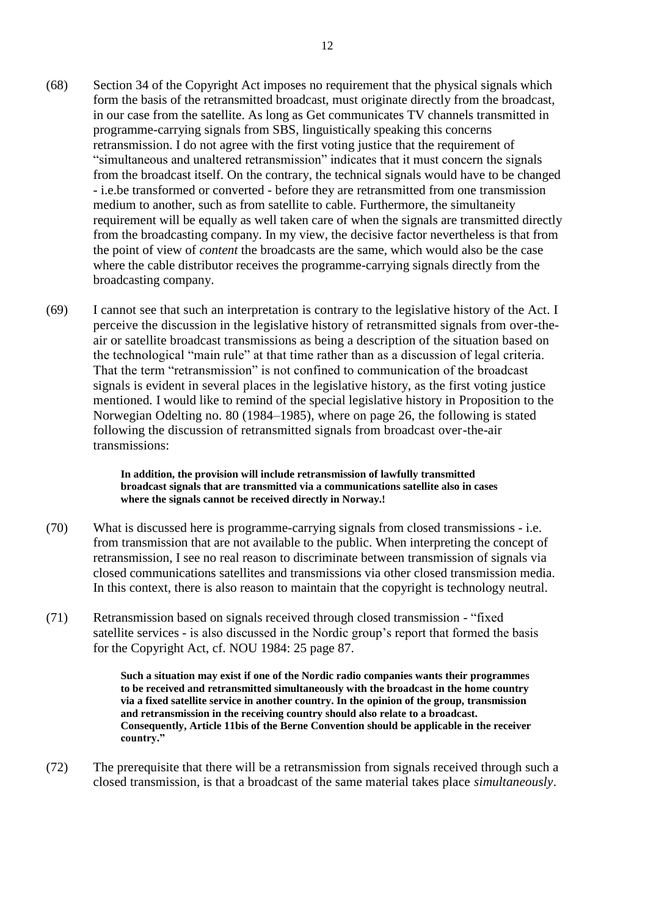- (68) Section 34 of the Copyright Act imposes no requirement that the physical signals which form the basis of the retransmitted broadcast, must originate directly from the broadcast, in our case from the satellite. As long as Get communicates TV channels transmitted in programme-carrying signals from SBS, linguistically speaking this concerns retransmission. I do not agree with the first voting justice that the requirement of "simultaneous and unaltered retransmission" indicates that it must concern the signals from the broadcast itself. On the contrary, the technical signals would have to be changed - i.e.be transformed or converted - before they are retransmitted from one transmission medium to another, such as from satellite to cable. Furthermore, the simultaneity requirement will be equally as well taken care of when the signals are transmitted directly from the broadcasting company. In my view, the decisive factor nevertheless is that from the point of view of *content* the broadcasts are the same, which would also be the case where the cable distributor receives the programme-carrying signals directly from the broadcasting company.
- (69) I cannot see that such an interpretation is contrary to the legislative history of the Act. I perceive the discussion in the legislative history of retransmitted signals from over-theair or satellite broadcast transmissions as being a description of the situation based on the technological "main rule" at that time rather than as a discussion of legal criteria. That the term "retransmission" is not confined to communication of the broadcast signals is evident in several places in the legislative history, as the first voting justice mentioned. I would like to remind of the special legislative history in Proposition to the Norwegian Odelting no. 80 (1984–1985), where on page 26, the following is stated following the discussion of retransmitted signals from broadcast over-the-air transmissions:

**In addition, the provision will include retransmission of lawfully transmitted broadcast signals that are transmitted via a communications satellite also in cases where the signals cannot be received directly in Norway.!**

- (70) What is discussed here is programme-carrying signals from closed transmissions i.e. from transmission that are not available to the public. When interpreting the concept of retransmission, I see no real reason to discriminate between transmission of signals via closed communications satellites and transmissions via other closed transmission media. In this context, there is also reason to maintain that the copyright is technology neutral.
- (71) Retransmission based on signals received through closed transmission "fixed satellite services - is also discussed in the Nordic group's report that formed the basis for the Copyright Act, cf. NOU 1984: 25 page 87.

**Such a situation may exist if one of the Nordic radio companies wants their programmes to be received and retransmitted simultaneously with the broadcast in the home country via a fixed satellite service in another country. In the opinion of the group, transmission and retransmission in the receiving country should also relate to a broadcast. Consequently, Article 11bis of the Berne Convention should be applicable in the receiver country."**

(72) The prerequisite that there will be a retransmission from signals received through such a closed transmission, is that a broadcast of the same material takes place *simultaneously*.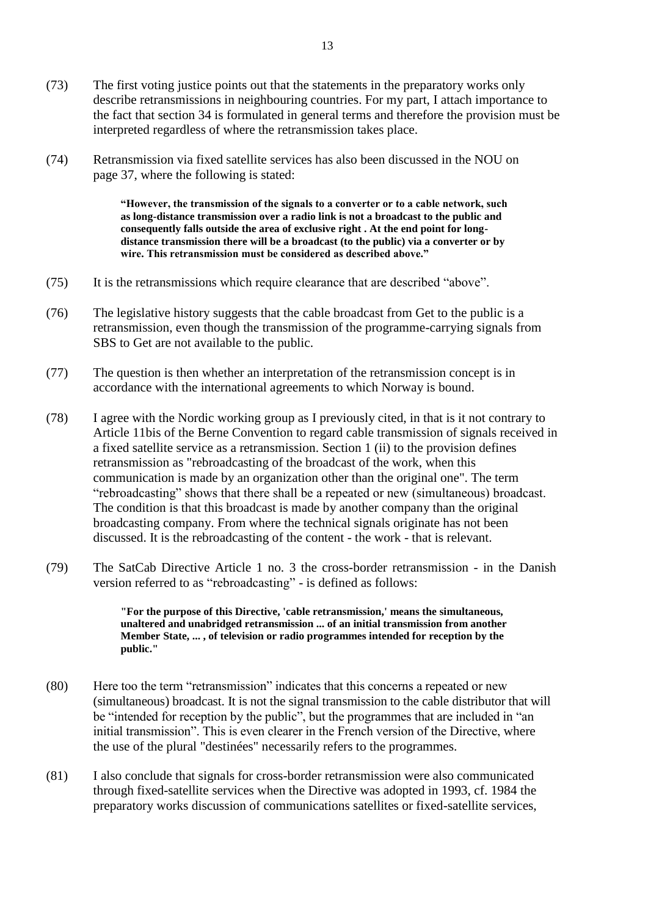- (73) The first voting justice points out that the statements in the preparatory works only describe retransmissions in neighbouring countries. For my part, I attach importance to the fact that section 34 is formulated in general terms and therefore the provision must be interpreted regardless of where the retransmission takes place.
- (74) Retransmission via fixed satellite services has also been discussed in the NOU on page 37, where the following is stated:

**"However, the transmission of the signals to a converter or to a cable network, such as long-distance transmission over a radio link is not a broadcast to the public and consequently falls outside the area of exclusive right . At the end point for longdistance transmission there will be a broadcast (to the public) via a converter or by wire. This retransmission must be considered as described above."**

- (75) It is the retransmissions which require clearance that are described "above".
- (76) The legislative history suggests that the cable broadcast from Get to the public is a retransmission, even though the transmission of the programme-carrying signals from SBS to Get are not available to the public.
- (77) The question is then whether an interpretation of the retransmission concept is in accordance with the international agreements to which Norway is bound.
- (78) I agree with the Nordic working group as I previously cited, in that is it not contrary to Article 11bis of the Berne Convention to regard cable transmission of signals received in a fixed satellite service as a retransmission. Section 1 (ii) to the provision defines retransmission as "rebroadcasting of the broadcast of the work, when this communication is made by an organization other than the original one". The term "rebroadcasting" shows that there shall be a repeated or new (simultaneous) broadcast. The condition is that this broadcast is made by another company than the original broadcasting company. From where the technical signals originate has not been discussed. It is the rebroadcasting of the content - the work - that is relevant.
- (79) The SatCab Directive Article 1 no. 3 the cross-border retransmission in the Danish version referred to as "rebroadcasting" - is defined as follows:

**"For the purpose of this Directive, 'cable retransmission,' means the simultaneous, unaltered and unabridged retransmission ... of an initial transmission from another Member State, ... , of television or radio programmes intended for reception by the public."**

- (80) Here too the term "retransmission" indicates that this concerns a repeated or new (simultaneous) broadcast. It is not the signal transmission to the cable distributor that will be "intended for reception by the public", but the programmes that are included in "an initial transmission". This is even clearer in the French version of the Directive, where the use of the plural "destinées" necessarily refers to the programmes.
- (81) I also conclude that signals for cross-border retransmission were also communicated through fixed-satellite services when the Directive was adopted in 1993, cf. 1984 the preparatory works discussion of communications satellites or fixed-satellite services,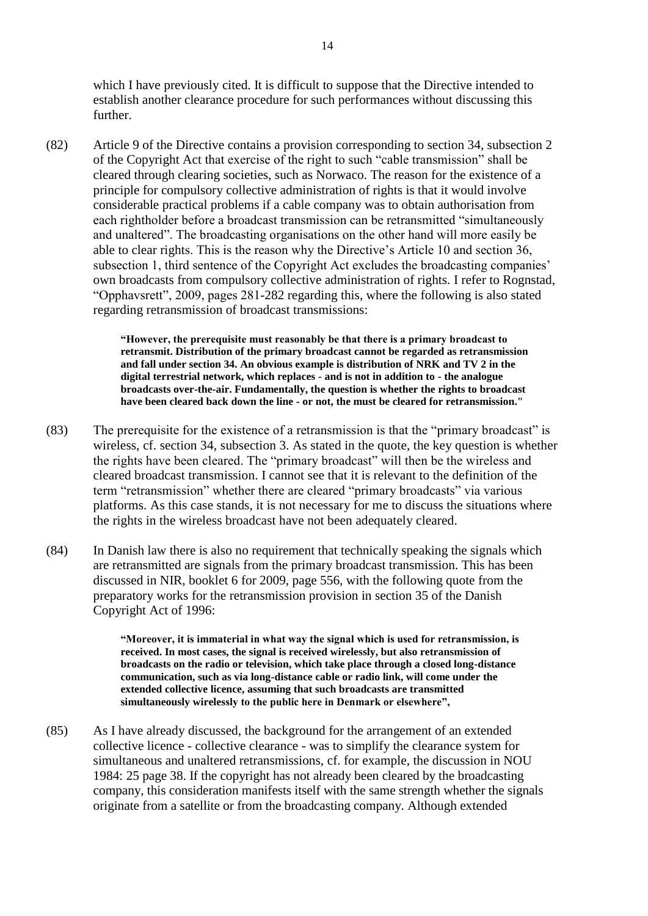which I have previously cited. It is difficult to suppose that the Directive intended to establish another clearance procedure for such performances without discussing this further.

(82) Article 9 of the Directive contains a provision corresponding to section 34, subsection 2 of the Copyright Act that exercise of the right to such "cable transmission" shall be cleared through clearing societies, such as Norwaco. The reason for the existence of a principle for compulsory collective administration of rights is that it would involve considerable practical problems if a cable company was to obtain authorisation from each rightholder before a broadcast transmission can be retransmitted "simultaneously and unaltered". The broadcasting organisations on the other hand will more easily be able to clear rights. This is the reason why the Directive's Article 10 and section 36, subsection 1, third sentence of the Copyright Act excludes the broadcasting companies' own broadcasts from compulsory collective administration of rights. I refer to Rognstad, "Opphavsrett", 2009, pages 281-282 regarding this, where the following is also stated regarding retransmission of broadcast transmissions:

> **"However, the prerequisite must reasonably be that there is a primary broadcast to retransmit. Distribution of the primary broadcast cannot be regarded as retransmission and fall under section 34. An obvious example is distribution of NRK and TV 2 in the digital terrestrial network, which replaces - and is not in addition to - the analogue broadcasts over-the-air. Fundamentally, the question is whether the rights to broadcast have been cleared back down the line - or not, the must be cleared for retransmission."**

- (83) The prerequisite for the existence of a retransmission is that the "primary broadcast" is wireless, cf. section 34, subsection 3. As stated in the quote, the key question is whether the rights have been cleared. The "primary broadcast" will then be the wireless and cleared broadcast transmission. I cannot see that it is relevant to the definition of the term "retransmission" whether there are cleared "primary broadcasts" via various platforms. As this case stands, it is not necessary for me to discuss the situations where the rights in the wireless broadcast have not been adequately cleared.
- (84) In Danish law there is also no requirement that technically speaking the signals which are retransmitted are signals from the primary broadcast transmission. This has been discussed in NIR, booklet 6 for 2009, page 556, with the following quote from the preparatory works for the retransmission provision in section 35 of the Danish Copyright Act of 1996:

**"Moreover, it is immaterial in what way the signal which is used for retransmission, is received. In most cases, the signal is received wirelessly, but also retransmission of broadcasts on the radio or television, which take place through a closed long-distance communication, such as via long-distance cable or radio link, will come under the extended collective licence, assuming that such broadcasts are transmitted simultaneously wirelessly to the public here in Denmark or elsewhere",**

(85) As I have already discussed, the background for the arrangement of an extended collective licence - collective clearance - was to simplify the clearance system for simultaneous and unaltered retransmissions, cf. for example, the discussion in NOU 1984: 25 page 38. If the copyright has not already been cleared by the broadcasting company, this consideration manifests itself with the same strength whether the signals originate from a satellite or from the broadcasting company. Although extended